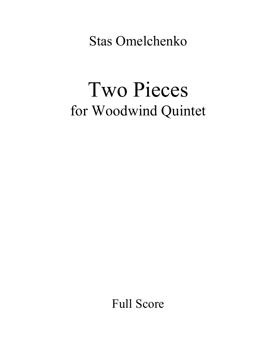Stas Omelchenko

## Two Pieces for Woodwind Quintet

Full Score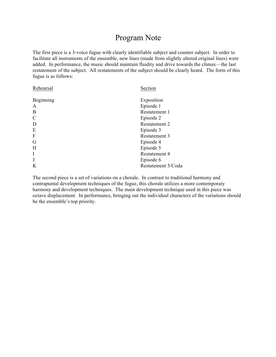## Program Note

The first piece is a 3-voice fugue with clearly identifiable subject and counter subject. In order to facilitate all instruments of the ensemble, new lines (made from slightly altered original lines) were added. In performance, the music should maintain fluidity and drive towards the climax—the last restatement of the subject. All restatements of the subject should be clearly heard. The form of this fugue is as follows:

| Rehearsal     | Section              |
|---------------|----------------------|
| Beginning     | Exposition           |
| $\mathbf{A}$  | Episode 1            |
| B             | Restatement 1        |
| $\mathcal{C}$ | Episode 2            |
| D             | <b>Restatement 2</b> |
| E             | Episode 3            |
| $\mathbf{F}$  | Restatement 3        |
| G             | Episode 4            |
| H             | Episode 5            |
| I             | Restatement 4        |
| J             | Episode 6            |
| K             | Restatement 5/Coda   |

The second piece is a set of variations on a chorale. In contrast to traditional harmony and contrapuntal development techniques of the fugue, this chorale utilizes a more contemporary harmony and development techniques. The main development technique used in this piece was octave displacement. In performance, bringing out the individual characters of the variations should be the ensemble's top priority.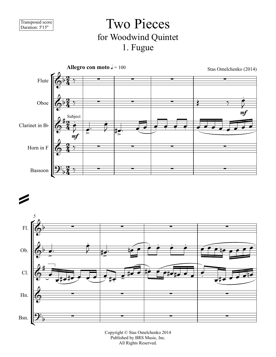=

Two Pieces for Woodwind Quintet 1. Fugue





Copyright © Stas Omelchenko 2014 Published by BRS Music, Inc. All Rights Reserved.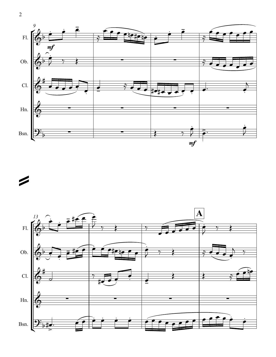

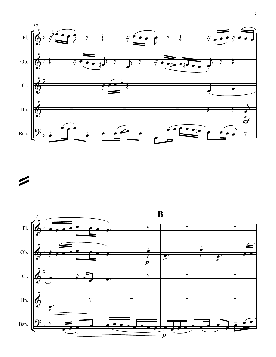



=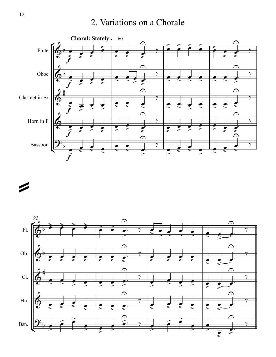## 2. Variations on a Chorale





 $\blacktriangleright$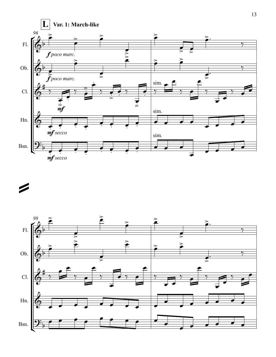



 $\boldsymbol{z}$